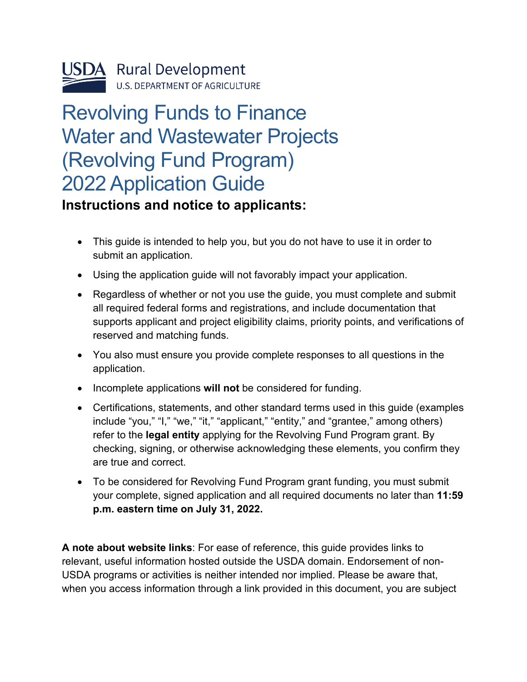

# Revolving Funds to Finance Water and Wastewater Projects (Revolving Fund Program) 2022 Application Guide

#### <span id="page-0-0"></span>**Instructions and notice to applicants:**

- This guide is intended to help you, but you do not have to use it in order to submit an application.
- Using the application guide will not favorably impact your application.
- Regardless of whether or not you use the guide, you must complete and submit all required federal forms and registrations, and include documentation that supports applicant and project eligibility claims, priority points, and verifications of reserved and matching funds.
- You also must ensure you provide complete responses to all questions in the application.
- Incomplete applications **will not** be considered for funding.
- Certifications, statements, and other standard terms used in this guide (examples include "you," "I," "we," "it," "applicant," "entity," and "grantee," among others) refer to the **legal entity** applying for the Revolving Fund Program grant. By checking, signing, or otherwise acknowledging these elements, you confirm they are true and correct.
- To be considered for Revolving Fund Program grant funding, you must submit your complete, signed application and all required documents no later than **11:59 p.m. eastern time on July 31, 2022.**

**A note about website links**: For ease of reference, this guide provides links to relevant, useful information hosted outside the USDA domain. Endorsement of non-USDA programs or activities is neither intended nor implied. Please be aware that, when you access information through a link provided in this document, you are subject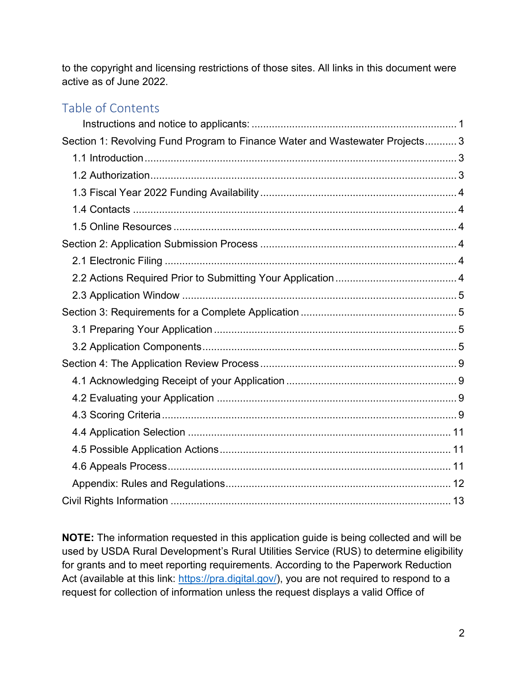to the copyright and licensing restrictions of those sites. All links in this document were active as of June 2022.

#### Table of Contents

| Section 1: Revolving Fund Program to Finance Water and Wastewater Projects 3 |  |
|------------------------------------------------------------------------------|--|
|                                                                              |  |
|                                                                              |  |
|                                                                              |  |
|                                                                              |  |
|                                                                              |  |
|                                                                              |  |
|                                                                              |  |
|                                                                              |  |
|                                                                              |  |
|                                                                              |  |
|                                                                              |  |
|                                                                              |  |
|                                                                              |  |
|                                                                              |  |
|                                                                              |  |
|                                                                              |  |
|                                                                              |  |
|                                                                              |  |
|                                                                              |  |
|                                                                              |  |
|                                                                              |  |

**NOTE:** The information requested in this application guide is being collected and will be used by USDA Rural Development's Rural Utilities Service (RUS) to determine eligibility for grants and to meet reporting requirements. According to the Paperwork Reduction Act (available at this link: [https://pra.digital.gov/\)](https://pra.digital.gov/), you are not required to respond to a request for collection of information unless the request displays a valid Office of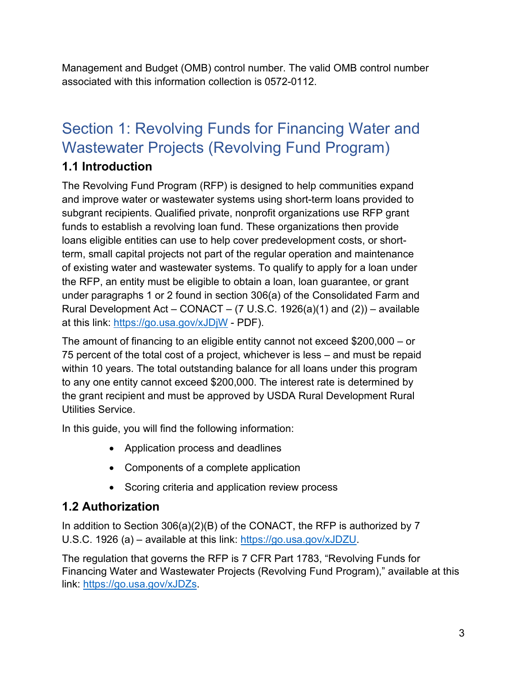Management and Budget (OMB) control number. The valid OMB control number associated with this information collection is 0572-0112.

## <span id="page-2-0"></span>Section 1: Revolving Funds for Financing Water and Wastewater Projects (Revolving Fund Program)

#### <span id="page-2-1"></span>**1.1 Introduction**

The Revolving Fund Program (RFP) is designed to help communities expand and improve water or wastewater systems using short-term loans provided to subgrant recipients. Qualified private, nonprofit organizations use RFP grant funds to establish a revolving loan fund. These organizations then provide loans eligible entities can use to help cover predevelopment costs, or shortterm, small capital projects not part of the regular operation and maintenance of existing water and wastewater systems. To qualify to apply for a loan under the RFP, an entity must be eligible to obtain a loan, loan guarantee, or grant under paragraphs 1 or 2 found in section 306(a) of the Consolidated Farm and Rural Development Act – CONACT –  $(7 \text{ U.S.C. } 1926(a)(1)$  and  $(2))$  – available at this link:<https://go.usa.gov/xJDjW>- PDF).

The amount of financing to an eligible entity cannot not exceed \$200,000 – or 75 percent of the total cost of a project, whichever is less – and must be repaid within 10 years. The total outstanding balance for all loans under this program to any one entity cannot exceed \$200,000. The interest rate is determined by the grant recipient and must be approved by USDA Rural Development Rural Utilities Service.

In this guide, you will find the following information:

- Application process and deadlines
- Components of a complete application
- Scoring criteria and application review process

#### <span id="page-2-2"></span>**1.2 Authorization**

In addition to Section 306(a)(2)(B) of the CONACT, the RFP is authorized by 7 U.S.C. 1926 (a) – available at this link: [https://go.usa.gov/xJDZU.](https://go.usa.gov/xJDZU)

The regulation that governs the RFP is 7 CFR Part 1783, "Revolving Funds for Financing Water and Wastewater Projects (Revolving Fund Program)," available at this link: [https://go.usa.gov/xJDZs.](https://go.usa.gov/xJDZs)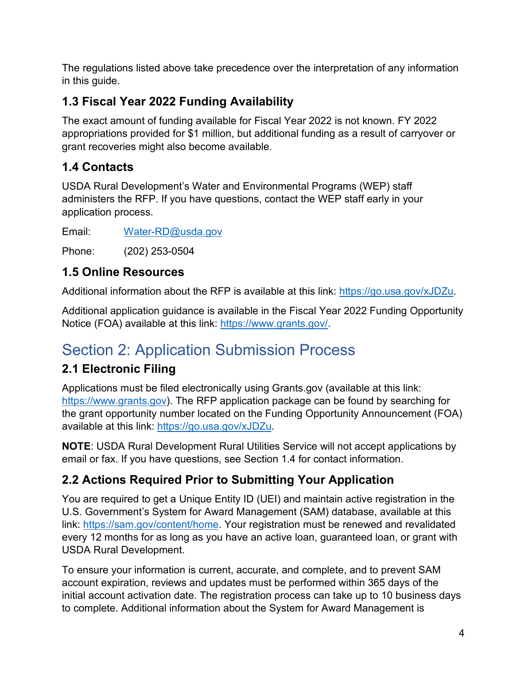The regulations listed above take precedence over the interpretation of any information in this guide.

## <span id="page-3-0"></span>**1.3 Fiscal Year 2022 Funding Availability**

The exact amount of funding available for Fiscal Year 2022 is not known. FY 2022 appropriations provided for \$1 million, but additional funding as a result of carryover or grant recoveries might also become available.

### <span id="page-3-1"></span>**1.4 Contacts**

USDA Rural Development's Water and Environmental Programs (WEP) staff administers the RFP. If you have questions, contact the WEP staff early in your application process.

Email: [Water-RD@usda.gov](mailto:Water-RD@usda.gov) 

Phone: (202) 253-0504

### <span id="page-3-2"></span>**1.5 Online Resources**

Additional information about the RFP is available at this link: [https://go.usa.gov/xJDZu.](https://go.usa.gov/xJDZu)

Additional application guidance is available in the Fiscal Year 2022 Funding Opportunity Notice (FOA) available at this link: [https://www.grants.gov/.](https://www.grants.gov/)

## <span id="page-3-3"></span>Section 2: Application Submission Process

## <span id="page-3-4"></span>**2.1 Electronic Filing**

Applications must be filed electronically using Grants.gov (available at this link: [https://www.grants.gov\)](https://www.grants.gov/). The RFP application package can be found by searching for the grant opportunity number located on the Funding Opportunity Announcement (FOA) available at this link: [https://go.usa.gov/xJDZu.](https://go.usa.gov/xJDZu)

**NOTE**: USDA Rural Development Rural Utilities Service will not accept applications by email or fax. If you have questions, see Section 1.4 for contact information.

### <span id="page-3-5"></span>**2.2 Actions Required Prior to Submitting Your Application**

You are required to get a Unique Entity ID (UEI) and maintain active registration in the U.S. Government's System for Award Management (SAM) database, available at this link: [https://sam.gov/content/home.](https://sam.gov/content/home) Your registration must be renewed and revalidated every 12 months for as long as you have an active loan, guaranteed loan, or grant with USDA Rural Development.

To ensure your information is current, accurate, and complete, and to prevent SAM account expiration, reviews and updates must be performed within 365 days of the initial account activation date. The registration process can take up to 10 business days to complete. Additional information about the System for Award Management is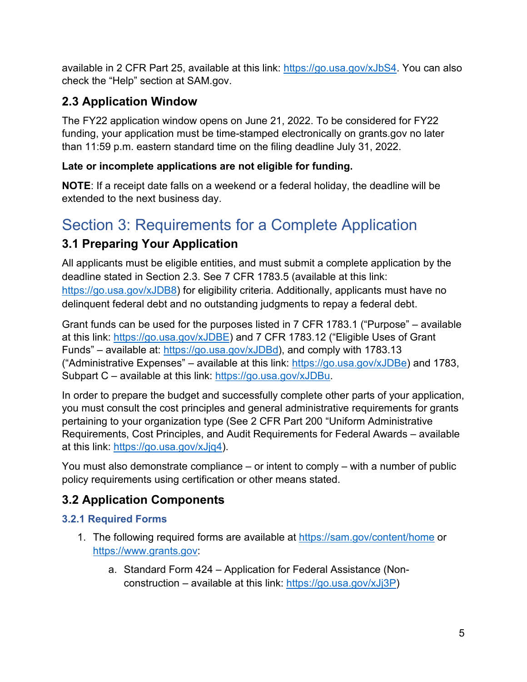available in 2 CFR Part 25, available at this link: [https://go.usa.gov/xJbS4.](https://go.usa.gov/xJbS4) You can also check the "Help" section at SAM.gov.

### <span id="page-4-0"></span>**2.3 Application Window**

The FY22 application window opens on June 21, 2022. To be considered for FY22 funding, your application must be time-stamped electronically on grants.gov no later than 11:59 p.m. eastern standard time on the filing deadline July 31, 2022.

#### **Late or incomplete applications are not eligible for funding.**

**NOTE**: If a receipt date falls on a weekend or a federal holiday, the deadline will be extended to the next business day.

## <span id="page-4-1"></span>Section 3: Requirements for a Complete Application

### <span id="page-4-2"></span>**3.1 Preparing Your Application**

All applicants must be eligible entities, and must submit a complete application by the deadline stated in Section 2.3. See 7 CFR 1783.5 (available at this link: [https://go.usa.gov/xJDB8\)](https://go.usa.gov/xJDB8) for eligibility criteria. Additionally, applicants must have no delinquent federal debt and no outstanding judgments to repay a federal debt.

Grant funds can be used for the purposes listed in 7 CFR 1783.1 ("Purpose" – available at this link: [https://go.usa.gov/xJDBE\)](https://go.usa.gov/xJDBE) and 7 CFR 1783.12 ("Eligible Uses of Grant Funds" – available at: [https://go.usa.gov/xJDBd\)](https://go.usa.gov/xJDBd), and comply with 1783.13 ("Administrative Expenses" – available at this link: [https://go.usa.gov/xJDBe\)](https://go.usa.gov/xJDBe) and 1783, Subpart C – available at this link: [https://go.usa.gov/xJDBu.](https://go.usa.gov/xJDBu)

In order to prepare the budget and successfully complete other parts of your application, you must consult the cost principles and general administrative requirements for grants pertaining to your organization type (See 2 CFR Part 200 "Uniform Administrative Requirements, Cost Principles, and Audit Requirements for Federal Awards – available at this link: [https://go.usa.gov/xJjq4\)](https://go.usa.gov/xJjq4).

You must also demonstrate compliance – or intent to comply – with a number of public policy requirements using certification or other means stated.

## <span id="page-4-3"></span>**3.2 Application Components**

#### **3.2.1 Required Forms**

- 1. The following required forms are available at<https://sam.gov/content/home> or [https://www.grants.gov:](https://www.grants.gov/)
	- a. Standard Form 424 Application for Federal Assistance (Nonconstruction – available at this link: [https://go.usa.gov/xJj3P\)](https://go.usa.gov/xJj3P)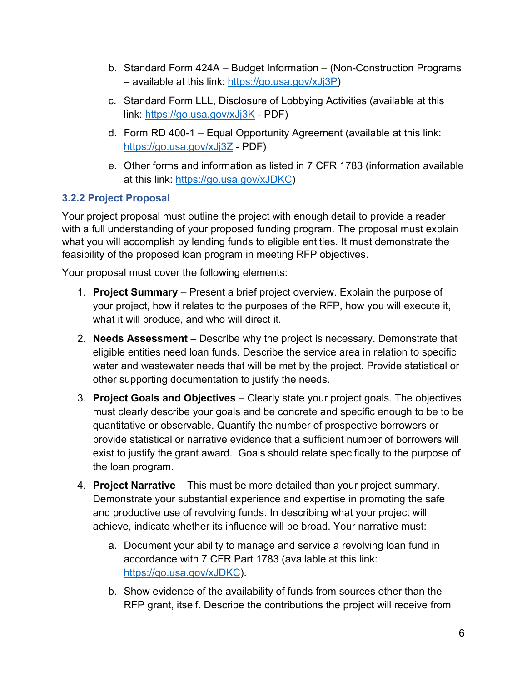- b. Standard Form 424A Budget Information (Non-Construction Programs – available at this link: [https://go.usa.gov/xJj3P\)](https://go.usa.gov/xJj3P)
- c. Standard Form LLL, Disclosure of Lobbying Activities (available at this link:<https://go.usa.gov/xJj3K>- PDF)
- d. Form RD 400-1 Equal Opportunity Agreement (available at this link: <https://go.usa.gov/xJj3Z>- PDF)
- e. Other forms and information as listed in 7 CFR 1783 (information available at this link: [https://go.usa.gov/xJDKC\)](https://go.usa.gov/xJDKC)

#### **3.2.2 Project Proposal**

Your project proposal must outline the project with enough detail to provide a reader with a full understanding of your proposed funding program. The proposal must explain what you will accomplish by lending funds to eligible entities. It must demonstrate the feasibility of the proposed loan program in meeting RFP objectives.

Your proposal must cover the following elements:

- 1. **Project Summary** Present a brief project overview. Explain the purpose of your project, how it relates to the purposes of the RFP, how you will execute it, what it will produce, and who will direct it.
- 2. **Needs Assessment** Describe why the project is necessary. Demonstrate that eligible entities need loan funds. Describe the service area in relation to specific water and wastewater needs that will be met by the project. Provide statistical or other supporting documentation to justify the needs.
- 3. **Project Goals and Objectives** Clearly state your project goals. The objectives must clearly describe your goals and be concrete and specific enough to be to be quantitative or observable. Quantify the number of prospective borrowers or provide statistical or narrative evidence that a sufficient number of borrowers will exist to justify the grant award. Goals should relate specifically to the purpose of the loan program.
- 4. **Project Narrative** This must be more detailed than your project summary. Demonstrate your substantial experience and expertise in promoting the safe and productive use of revolving funds. In describing what your project will achieve, indicate whether its influence will be broad. Your narrative must:
	- a. Document your ability to manage and service a revolving loan fund in accordance with 7 CFR Part 1783 (available at this link: [https://go.usa.gov/xJDKC\)](https://go.usa.gov/xJDKC).
	- b. Show evidence of the availability of funds from sources other than the RFP grant, itself. Describe the contributions the project will receive from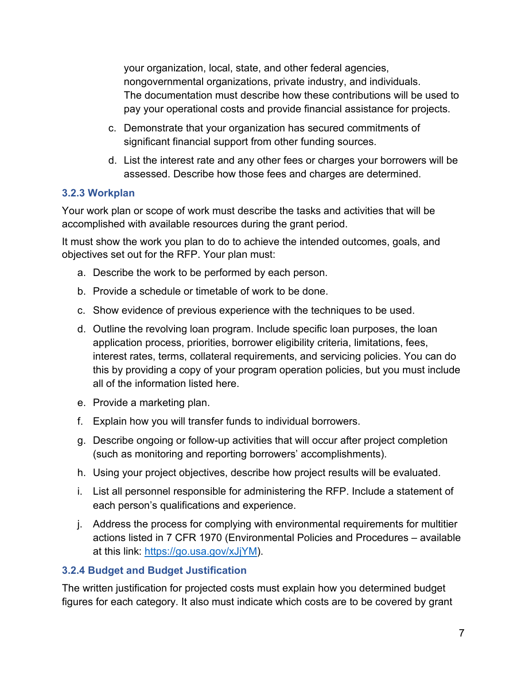your organization, local, state, and other federal agencies, nongovernmental organizations, private industry, and individuals. The documentation must describe how these contributions will be used to pay your operational costs and provide financial assistance for projects.

- c. Demonstrate that your organization has secured commitments of significant financial support from other funding sources.
- d. List the interest rate and any other fees or charges your borrowers will be assessed. Describe how those fees and charges are determined.

#### **3.2.3 Workplan**

Your work plan or scope of work must describe the tasks and activities that will be accomplished with available resources during the grant period.

It must show the work you plan to do to achieve the intended outcomes, goals, and objectives set out for the RFP. Your plan must:

- a. Describe the work to be performed by each person.
- b. Provide a schedule or timetable of work to be done.
- c. Show evidence of previous experience with the techniques to be used.
- d. Outline the revolving loan program. Include specific loan purposes, the loan application process, priorities, borrower eligibility criteria, limitations, fees, interest rates, terms, collateral requirements, and servicing policies. You can do this by providing a copy of your program operation policies, but you must include all of the information listed here.
- e. Provide a marketing plan.
- f. Explain how you will transfer funds to individual borrowers.
- g. Describe ongoing or follow-up activities that will occur after project completion (such as monitoring and reporting borrowers' accomplishments).
- h. Using your project objectives, describe how project results will be evaluated.
- i. List all personnel responsible for administering the RFP. Include a statement of each person's qualifications and experience.
- j. Address the process for complying with environmental requirements for multitier actions listed in 7 CFR 1970 (Environmental Policies and Procedures – available at this link: [https://go.usa.gov/xJjYM\)](https://go.usa.gov/xJjYM).

#### **3.2.4 Budget and Budget Justification**

The written justification for projected costs must explain how you determined budget figures for each category. It also must indicate which costs are to be covered by grant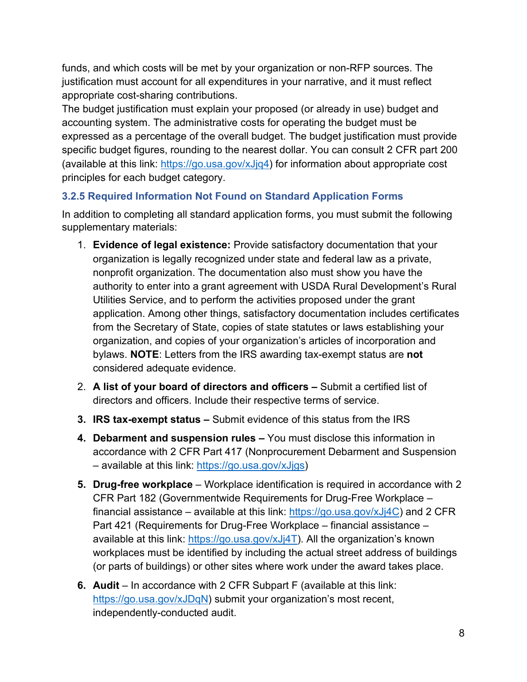funds, and which costs will be met by your organization or non-RFP sources. The justification must account for all expenditures in your narrative, and it must reflect appropriate cost-sharing contributions.

The budget justification must explain your proposed (or already in use) budget and accounting system. The administrative costs for operating the budget must be expressed as a percentage of the overall budget. The budget justification must provide specific budget figures, rounding to the nearest dollar. You can consult 2 CFR part 200 (available at this link: [https://go.usa.gov/xJjq4\)](https://go.usa.gov/xJjq4) for information about appropriate cost principles for each budget category.

#### **3.2.5 Required Information Not Found on Standard Application Forms**

In addition to completing all standard application forms, you must submit the following supplementary materials:

- 1. **Evidence of legal existence:** Provide satisfactory documentation that your organization is legally recognized under state and federal law as a private, nonprofit organization. The documentation also must show you have the authority to enter into a grant agreement with USDA Rural Development's Rural Utilities Service, and to perform the activities proposed under the grant application. Among other things, satisfactory documentation includes certificates from the Secretary of State, copies of state statutes or laws establishing your organization, and copies of your organization's articles of incorporation and bylaws. **NOTE**: Letters from the IRS awarding tax-exempt status are **not** considered adequate evidence.
- 2. **A list of your board of directors and officers** Submit a certified list of directors and officers. Include their respective terms of service.
- **3. IRS tax-exempt status** Submit evidence of this status from the IRS
- **4. Debarment and suspension rules –** You must disclose this information in accordance with 2 CFR Part 417 (Nonprocurement Debarment and Suspension – available at this link: [https://go.usa.gov/xJjgs\)](https://go.usa.gov/xJjgs)
- **5. Drug-free workplace** Workplace identification is required in accordance with 2 CFR Part 182 (Governmentwide Requirements for Drug-Free Workplace – financial assistance – available at this link: [https://go.usa.gov/xJj4C\)](https://go.usa.gov/xJj4C) and 2 CFR Part 421 (Requirements for Drug-Free Workplace – financial assistance – available at this link: [https://go.usa.gov/xJj4T\)](https://go.usa.gov/xJj4T). All the organization's known workplaces must be identified by including the actual street address of buildings (or parts of buildings) or other sites where work under the award takes place.
- **6. Audit** In accordance with 2 CFR Subpart F (available at this link: [https://go.usa.gov/xJDqN\)](https://go.usa.gov/xJDqN) submit your organization's most recent, independently-conducted audit.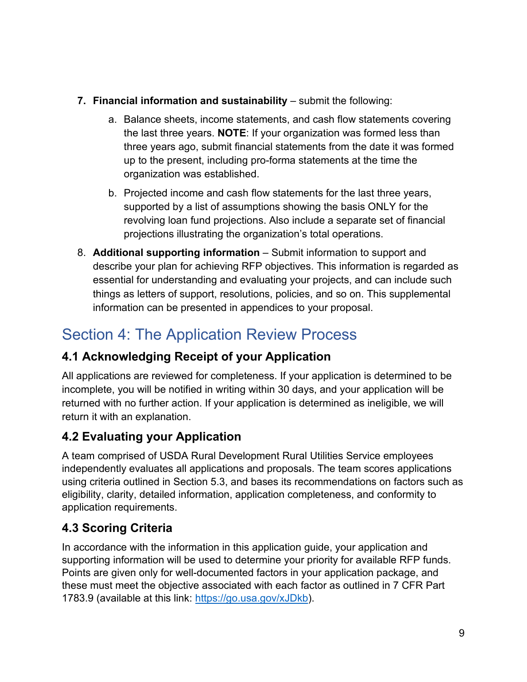- **7. Financial information and sustainability** submit the following:
	- a. Balance sheets, income statements, and cash flow statements covering the last three years. **NOTE**: If your organization was formed less than three years ago, submit financial statements from the date it was formed up to the present, including pro-forma statements at the time the organization was established.
	- b. Projected income and cash flow statements for the last three years, supported by a list of assumptions showing the basis ONLY for the revolving loan fund projections. Also include a separate set of financial projections illustrating the organization's total operations.
- 8. **Additional supporting information** Submit information to support and describe your plan for achieving RFP objectives. This information is regarded as essential for understanding and evaluating your projects, and can include such things as letters of support, resolutions, policies, and so on. This supplemental information can be presented in appendices to your proposal.

## <span id="page-8-0"></span>Section 4: The Application Review Process

## <span id="page-8-1"></span>**4.1 Acknowledging Receipt of your Application**

All applications are reviewed for completeness. If your application is determined to be incomplete, you will be notified in writing within 30 days, and your application will be returned with no further action. If your application is determined as ineligible, we will return it with an explanation.

## <span id="page-8-2"></span>**4.2 Evaluating your Application**

A team comprised of USDA Rural Development Rural Utilities Service employees independently evaluates all applications and proposals. The team scores applications using criteria outlined in Section 5.3, and bases its recommendations on factors such as eligibility, clarity, detailed information, application completeness, and conformity to application requirements.

## <span id="page-8-3"></span>**4.3 Scoring Criteria**

In accordance with the information in this application guide, your application and supporting information will be used to determine your priority for available RFP funds. Points are given only for well-documented factors in your application package, and these must meet the objective associated with each factor as outlined in 7 CFR Part 1783.9 (available at this link: [https://go.usa.gov/xJDkb\)](https://go.usa.gov/xJDkb).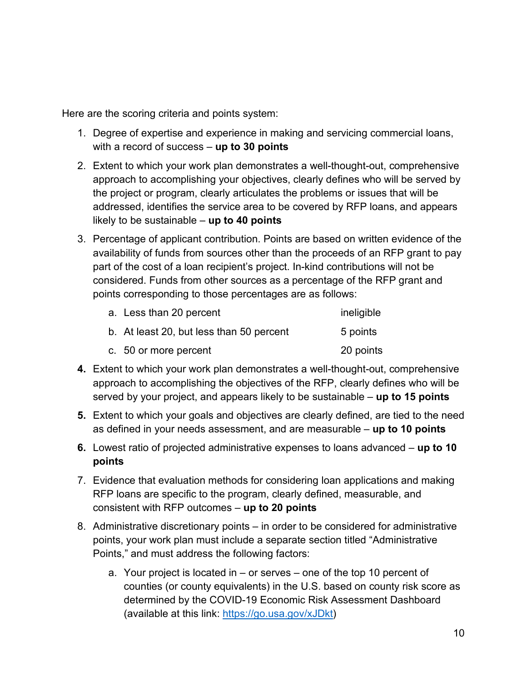Here are the scoring criteria and points system:

- 1. Degree of expertise and experience in making and servicing commercial loans, with a record of success – **up to 30 points**
- 2. Extent to which your work plan demonstrates a well-thought-out, comprehensive approach to accomplishing your objectives, clearly defines who will be served by the project or program, clearly articulates the problems or issues that will be addressed, identifies the service area to be covered by RFP loans, and appears likely to be sustainable – **up to 40 points**
- 3. Percentage of applicant contribution. Points are based on written evidence of the availability of funds from sources other than the proceeds of an RFP grant to pay part of the cost of a loan recipient's project. In-kind contributions will not be considered. Funds from other sources as a percentage of the RFP grant and points corresponding to those percentages are as follows:

| a. Less than 20 percent                  | ineligible |
|------------------------------------------|------------|
| b. At least 20, but less than 50 percent | 5 points   |
| c. 50 or more percent                    | 20 points  |

- **4.** Extent to which your work plan demonstrates a well-thought-out, comprehensive approach to accomplishing the objectives of the RFP, clearly defines who will be served by your project, and appears likely to be sustainable – **up to 15 points**
- **5.** Extent to which your goals and objectives are clearly defined, are tied to the need as defined in your needs assessment, and are measurable – **up to 10 points**
- **6.** Lowest ratio of projected administrative expenses to loans advanced **up to 10 points**
- 7. Evidence that evaluation methods for considering loan applications and making RFP loans are specific to the program, clearly defined, measurable, and consistent with RFP outcomes – **up to 20 points**
- 8. Administrative discretionary points in order to be considered for administrative points, your work plan must include a separate section titled "Administrative Points," and must address the following factors:
	- a. Your project is located in or serves one of the top 10 percent of counties (or county equivalents) in the U.S. based on county risk score as determined by the COVID-19 Economic Risk Assessment Dashboard (available at this link: [https://go.usa.gov/xJDkt\)](https://go.usa.gov/xJDkt)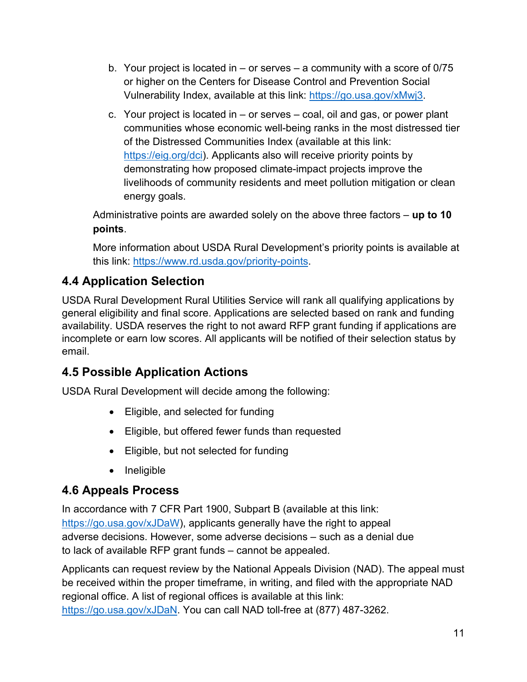- b. Your project is located in or serves a community with a score of 0/75 or higher on the Centers for Disease Control and Prevention Social Vulnerability Index, available at this link: [https://go.usa.gov/xMwj3.](https://go.usa.gov/xMwj3)
- c. Your project is located in or serves coal, oil and gas, or power plant communities whose economic well-being ranks in the most distressed tier of the Distressed Communities Index (available at this link: [https://eig.org/dci\)](https://eig.org/dci). Applicants also will receive priority points by demonstrating how proposed climate-impact projects improve the livelihoods of community residents and meet pollution mitigation or clean energy goals.

Administrative points are awarded solely on the above three factors – **up to 10 points**.

More information about USDA Rural Development's priority points is available at this link: [https://www.rd.usda.gov/priority-points.](https://www.rd.usda.gov/priority-points)

#### <span id="page-10-0"></span>**4.4 Application Selection**

USDA Rural Development Rural Utilities Service will rank all qualifying applications by general eligibility and final score. Applications are selected based on rank and funding availability. USDA reserves the right to not award RFP grant funding if applications are incomplete or earn low scores. All applicants will be notified of their selection status by email.

#### <span id="page-10-1"></span>**4.5 Possible Application Actions**

USDA Rural Development will decide among the following:

- Eligible, and selected for funding
- Eligible, but offered fewer funds than requested
- Eligible, but not selected for funding
- Ineligible

#### <span id="page-10-2"></span>**4.6 Appeals Process**

In accordance with 7 CFR Part 1900, Subpart B (available at this link: [https://go.usa.gov/xJDaW\)](https://go.usa.gov/xJDaW), applicants generally have the right to appeal adverse decisions. However, some adverse decisions – such as a denial due to lack of available RFP grant funds – cannot be appealed.

Applicants can request review by the National Appeals Division (NAD). The appeal must be received within the proper timeframe, in writing, and filed with the appropriate NAD regional office. A list of regional offices is available at this link: [https://go.usa.gov/xJDaN.](https://go.usa.gov/xJDaN) You can call NAD toll-free at (877) 487-3262.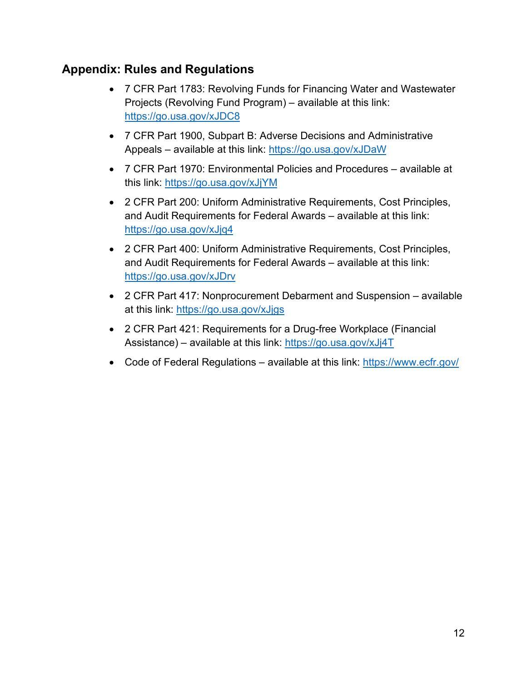#### <span id="page-11-0"></span>**Appendix: Rules and Regulations**

- 7 CFR Part 1783: Revolving Funds for Financing Water and Wastewater Projects (Revolving Fund Program) – available at this link: <https://go.usa.gov/xJDC8>
- 7 CFR Part 1900, Subpart B: Adverse Decisions and Administrative Appeals – available at this link:<https://go.usa.gov/xJDaW>
- 7 CFR Part 1970: Environmental Policies and Procedures available at this link:<https://go.usa.gov/xJjYM>
- 2 CFR Part 200: Uniform Administrative Requirements, Cost Principles, and Audit Requirements for Federal Awards – available at this link: <https://go.usa.gov/xJjq4>
- 2 CFR Part 400: Uniform Administrative Requirements, Cost Principles, and Audit Requirements for Federal Awards – available at this link: <https://go.usa.gov/xJDrv>
- 2 CFR Part 417: Nonprocurement Debarment and Suspension available at this link:<https://go.usa.gov/xJjgs>
- 2 CFR Part 421: Requirements for a Drug-free Workplace (Financial Assistance) – available at this link:<https://go.usa.gov/xJj4T>
- Code of Federal Regulations available at this link: https://www.ecfr.gov/